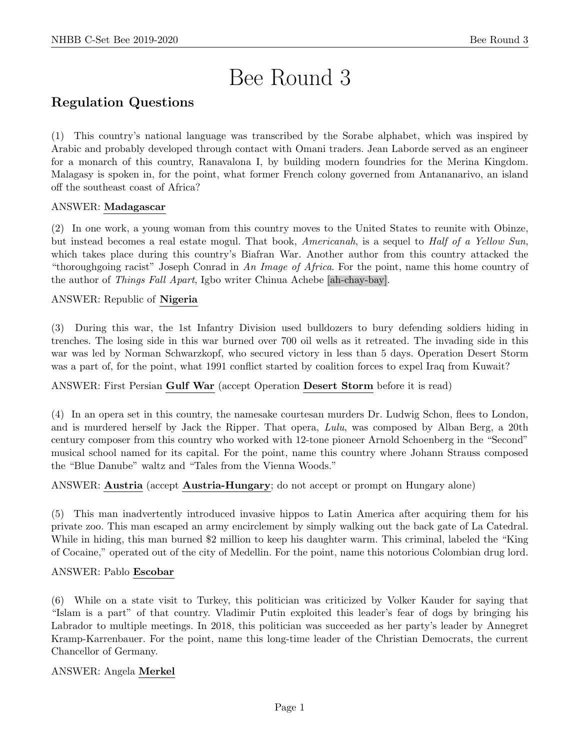# Bee Round 3

# Regulation Questions

(1) This country's national language was transcribed by the Sorabe alphabet, which was inspired by Arabic and probably developed through contact with Omani traders. Jean Laborde served as an engineer for a monarch of this country, Ranavalona I, by building modern foundries for the Merina Kingdom. Malagasy is spoken in, for the point, what former French colony governed from Antananarivo, an island off the southeast coast of Africa?

# ANSWER: Madagascar

(2) In one work, a young woman from this country moves to the United States to reunite with Obinze, but instead becomes a real estate mogul. That book, Americanah, is a sequel to Half of a Yellow Sun, which takes place during this country's Biafran War. Another author from this country attacked the "thoroughgoing racist" Joseph Conrad in An Image of Africa. For the point, name this home country of the author of Things Fall Apart, Igbo writer Chinua Achebe [ah-chay-bay].

# ANSWER: Republic of Nigeria

(3) During this war, the 1st Infantry Division used bulldozers to bury defending soldiers hiding in trenches. The losing side in this war burned over 700 oil wells as it retreated. The invading side in this war was led by Norman Schwarzkopf, who secured victory in less than 5 days. Operation Desert Storm was a part of, for the point, what 1991 conflict started by coalition forces to expel Iraq from Kuwait?

# ANSWER: First Persian Gulf War (accept Operation Desert Storm before it is read)

(4) In an opera set in this country, the namesake courtesan murders Dr. Ludwig Schon, flees to London, and is murdered herself by Jack the Ripper. That opera, Lulu, was composed by Alban Berg, a 20th century composer from this country who worked with 12-tone pioneer Arnold Schoenberg in the "Second" musical school named for its capital. For the point, name this country where Johann Strauss composed the "Blue Danube" waltz and "Tales from the Vienna Woods."

# ANSWER: Austria (accept Austria-Hungary; do not accept or prompt on Hungary alone)

(5) This man inadvertently introduced invasive hippos to Latin America after acquiring them for his private zoo. This man escaped an army encirclement by simply walking out the back gate of La Catedral. While in hiding, this man burned \$2 million to keep his daughter warm. This criminal, labeled the "King of Cocaine," operated out of the city of Medellin. For the point, name this notorious Colombian drug lord.

# ANSWER: Pablo Escobar

(6) While on a state visit to Turkey, this politician was criticized by Volker Kauder for saying that "Islam is a part" of that country. Vladimir Putin exploited this leader's fear of dogs by bringing his Labrador to multiple meetings. In 2018, this politician was succeeded as her party's leader by Annegret Kramp-Karrenbauer. For the point, name this long-time leader of the Christian Democrats, the current Chancellor of Germany.

# ANSWER: Angela Merkel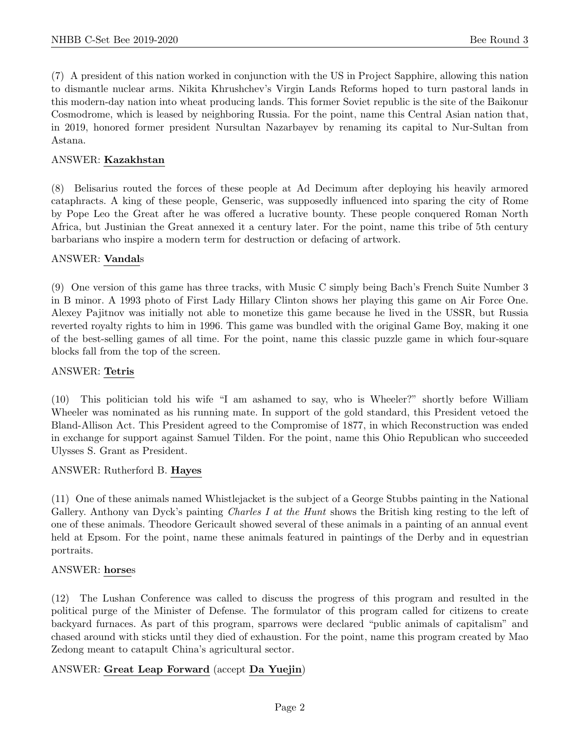(7) A president of this nation worked in conjunction with the US in Project Sapphire, allowing this nation to dismantle nuclear arms. Nikita Khrushchev's Virgin Lands Reforms hoped to turn pastoral lands in this modern-day nation into wheat producing lands. This former Soviet republic is the site of the Baikonur Cosmodrome, which is leased by neighboring Russia. For the point, name this Central Asian nation that, in 2019, honored former president Nursultan Nazarbayev by renaming its capital to Nur-Sultan from Astana.

#### ANSWER: Kazakhstan

(8) Belisarius routed the forces of these people at Ad Decimum after deploying his heavily armored cataphracts. A king of these people, Genseric, was supposedly influenced into sparing the city of Rome by Pope Leo the Great after he was offered a lucrative bounty. These people conquered Roman North Africa, but Justinian the Great annexed it a century later. For the point, name this tribe of 5th century barbarians who inspire a modern term for destruction or defacing of artwork.

#### ANSWER: Vandals

(9) One version of this game has three tracks, with Music C simply being Bach's French Suite Number 3 in B minor. A 1993 photo of First Lady Hillary Clinton shows her playing this game on Air Force One. Alexey Pajitnov was initially not able to monetize this game because he lived in the USSR, but Russia reverted royalty rights to him in 1996. This game was bundled with the original Game Boy, making it one of the best-selling games of all time. For the point, name this classic puzzle game in which four-square blocks fall from the top of the screen.

#### ANSWER: Tetris

(10) This politician told his wife "I am ashamed to say, who is Wheeler?" shortly before William Wheeler was nominated as his running mate. In support of the gold standard, this President vetoed the Bland-Allison Act. This President agreed to the Compromise of 1877, in which Reconstruction was ended in exchange for support against Samuel Tilden. For the point, name this Ohio Republican who succeeded Ulysses S. Grant as President.

#### ANSWER: Rutherford B. Hayes

(11) One of these animals named Whistlejacket is the subject of a George Stubbs painting in the National Gallery. Anthony van Dyck's painting *Charles I at the Hunt* shows the British king resting to the left of one of these animals. Theodore Gericault showed several of these animals in a painting of an annual event held at Epsom. For the point, name these animals featured in paintings of the Derby and in equestrian portraits.

#### ANSWER: horses

(12) The Lushan Conference was called to discuss the progress of this program and resulted in the political purge of the Minister of Defense. The formulator of this program called for citizens to create backyard furnaces. As part of this program, sparrows were declared "public animals of capitalism" and chased around with sticks until they died of exhaustion. For the point, name this program created by Mao Zedong meant to catapult China's agricultural sector.

# ANSWER: Great Leap Forward (accept Da Yuejin)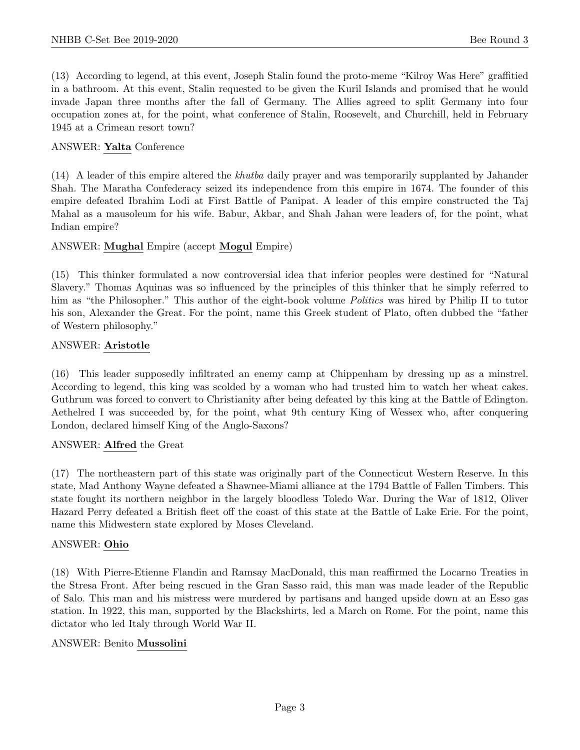(13) According to legend, at this event, Joseph Stalin found the proto-meme "Kilroy Was Here" graffitied in a bathroom. At this event, Stalin requested to be given the Kuril Islands and promised that he would invade Japan three months after the fall of Germany. The Allies agreed to split Germany into four occupation zones at, for the point, what conference of Stalin, Roosevelt, and Churchill, held in February 1945 at a Crimean resort town?

## ANSWER: Yalta Conference

(14) A leader of this empire altered the khutba daily prayer and was temporarily supplanted by Jahander Shah. The Maratha Confederacy seized its independence from this empire in 1674. The founder of this empire defeated Ibrahim Lodi at First Battle of Panipat. A leader of this empire constructed the Taj Mahal as a mausoleum for his wife. Babur, Akbar, and Shah Jahan were leaders of, for the point, what Indian empire?

#### ANSWER: Mughal Empire (accept Mogul Empire)

(15) This thinker formulated a now controversial idea that inferior peoples were destined for "Natural Slavery." Thomas Aquinas was so influenced by the principles of this thinker that he simply referred to him as "the Philosopher." This author of the eight-book volume *Politics* was hired by Philip II to tutor his son, Alexander the Great. For the point, name this Greek student of Plato, often dubbed the "father of Western philosophy."

#### ANSWER: Aristotle

(16) This leader supposedly infiltrated an enemy camp at Chippenham by dressing up as a minstrel. According to legend, this king was scolded by a woman who had trusted him to watch her wheat cakes. Guthrum was forced to convert to Christianity after being defeated by this king at the Battle of Edington. Aethelred I was succeeded by, for the point, what 9th century King of Wessex who, after conquering London, declared himself King of the Anglo-Saxons?

#### ANSWER: Alfred the Great

(17) The northeastern part of this state was originally part of the Connecticut Western Reserve. In this state, Mad Anthony Wayne defeated a Shawnee-Miami alliance at the 1794 Battle of Fallen Timbers. This state fought its northern neighbor in the largely bloodless Toledo War. During the War of 1812, Oliver Hazard Perry defeated a British fleet off the coast of this state at the Battle of Lake Erie. For the point, name this Midwestern state explored by Moses Cleveland.

# ANSWER: Ohio

(18) With Pierre-Etienne Flandin and Ramsay MacDonald, this man reaffirmed the Locarno Treaties in the Stresa Front. After being rescued in the Gran Sasso raid, this man was made leader of the Republic of Salo. This man and his mistress were murdered by partisans and hanged upside down at an Esso gas station. In 1922, this man, supported by the Blackshirts, led a March on Rome. For the point, name this dictator who led Italy through World War II.

#### ANSWER: Benito Mussolini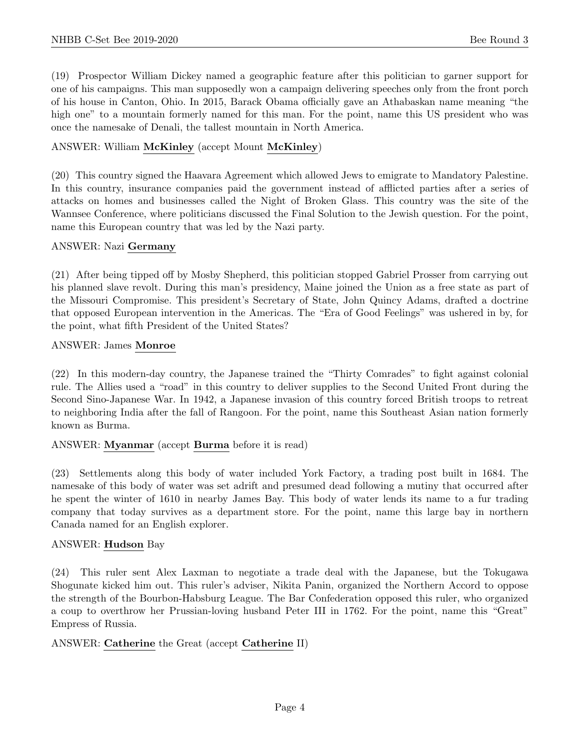(19) Prospector William Dickey named a geographic feature after this politician to garner support for one of his campaigns. This man supposedly won a campaign delivering speeches only from the front porch of his house in Canton, Ohio. In 2015, Barack Obama officially gave an Athabaskan name meaning "the high one" to a mountain formerly named for this man. For the point, name this US president who was once the namesake of Denali, the tallest mountain in North America.

## ANSWER: William McKinley (accept Mount McKinley)

(20) This country signed the Haavara Agreement which allowed Jews to emigrate to Mandatory Palestine. In this country, insurance companies paid the government instead of afflicted parties after a series of attacks on homes and businesses called the Night of Broken Glass. This country was the site of the Wannsee Conference, where politicians discussed the Final Solution to the Jewish question. For the point, name this European country that was led by the Nazi party.

#### ANSWER: Nazi Germany

(21) After being tipped off by Mosby Shepherd, this politician stopped Gabriel Prosser from carrying out his planned slave revolt. During this man's presidency, Maine joined the Union as a free state as part of the Missouri Compromise. This president's Secretary of State, John Quincy Adams, drafted a doctrine that opposed European intervention in the Americas. The "Era of Good Feelings" was ushered in by, for the point, what fifth President of the United States?

#### ANSWER: James Monroe

(22) In this modern-day country, the Japanese trained the "Thirty Comrades" to fight against colonial rule. The Allies used a "road" in this country to deliver supplies to the Second United Front during the Second Sino-Japanese War. In 1942, a Japanese invasion of this country forced British troops to retreat to neighboring India after the fall of Rangoon. For the point, name this Southeast Asian nation formerly known as Burma.

# ANSWER: Myanmar (accept Burma before it is read)

(23) Settlements along this body of water included York Factory, a trading post built in 1684. The namesake of this body of water was set adrift and presumed dead following a mutiny that occurred after he spent the winter of 1610 in nearby James Bay. This body of water lends its name to a fur trading company that today survives as a department store. For the point, name this large bay in northern Canada named for an English explorer.

# ANSWER: Hudson Bay

(24) This ruler sent Alex Laxman to negotiate a trade deal with the Japanese, but the Tokugawa Shogunate kicked him out. This ruler's adviser, Nikita Panin, organized the Northern Accord to oppose the strength of the Bourbon-Habsburg League. The Bar Confederation opposed this ruler, who organized a coup to overthrow her Prussian-loving husband Peter III in 1762. For the point, name this "Great" Empress of Russia.

# ANSWER: Catherine the Great (accept Catherine II)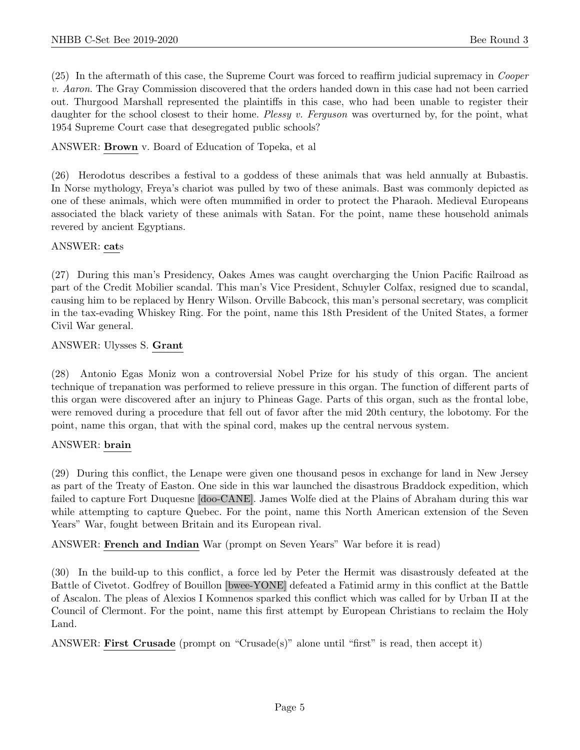(25) In the aftermath of this case, the Supreme Court was forced to reaffirm judicial supremacy in Cooper v. Aaron. The Gray Commission discovered that the orders handed down in this case had not been carried out. Thurgood Marshall represented the plaintiffs in this case, who had been unable to register their daughter for the school closest to their home. Plessy v. Ferguson was overturned by, for the point, what 1954 Supreme Court case that desegregated public schools?

ANSWER: Brown v. Board of Education of Topeka, et al

(26) Herodotus describes a festival to a goddess of these animals that was held annually at Bubastis. In Norse mythology, Freya's chariot was pulled by two of these animals. Bast was commonly depicted as one of these animals, which were often mummified in order to protect the Pharaoh. Medieval Europeans associated the black variety of these animals with Satan. For the point, name these household animals revered by ancient Egyptians.

#### ANSWER: cats

(27) During this man's Presidency, Oakes Ames was caught overcharging the Union Pacific Railroad as part of the Credit Mobilier scandal. This man's Vice President, Schuyler Colfax, resigned due to scandal, causing him to be replaced by Henry Wilson. Orville Babcock, this man's personal secretary, was complicit in the tax-evading Whiskey Ring. For the point, name this 18th President of the United States, a former Civil War general.

#### ANSWER: Ulysses S. Grant

(28) Antonio Egas Moniz won a controversial Nobel Prize for his study of this organ. The ancient technique of trepanation was performed to relieve pressure in this organ. The function of different parts of this organ were discovered after an injury to Phineas Gage. Parts of this organ, such as the frontal lobe, were removed during a procedure that fell out of favor after the mid 20th century, the lobotomy. For the point, name this organ, that with the spinal cord, makes up the central nervous system.

# ANSWER: brain

(29) During this conflict, the Lenape were given one thousand pesos in exchange for land in New Jersey as part of the Treaty of Easton. One side in this war launched the disastrous Braddock expedition, which failed to capture Fort Duquesne [doo-CANE]. James Wolfe died at the Plains of Abraham during this war while attempting to capture Quebec. For the point, name this North American extension of the Seven Years" War, fought between Britain and its European rival.

ANSWER: French and Indian War (prompt on Seven Years" War before it is read)

(30) In the build-up to this conflict, a force led by Peter the Hermit was disastrously defeated at the Battle of Civetot. Godfrey of Bouillon [bwee-YONE] defeated a Fatimid army in this conflict at the Battle of Ascalon. The pleas of Alexios I Komnenos sparked this conflict which was called for by Urban II at the Council of Clermont. For the point, name this first attempt by European Christians to reclaim the Holy Land.

ANSWER: First Crusade (prompt on "Crusade(s)" alone until "first" is read, then accept it)